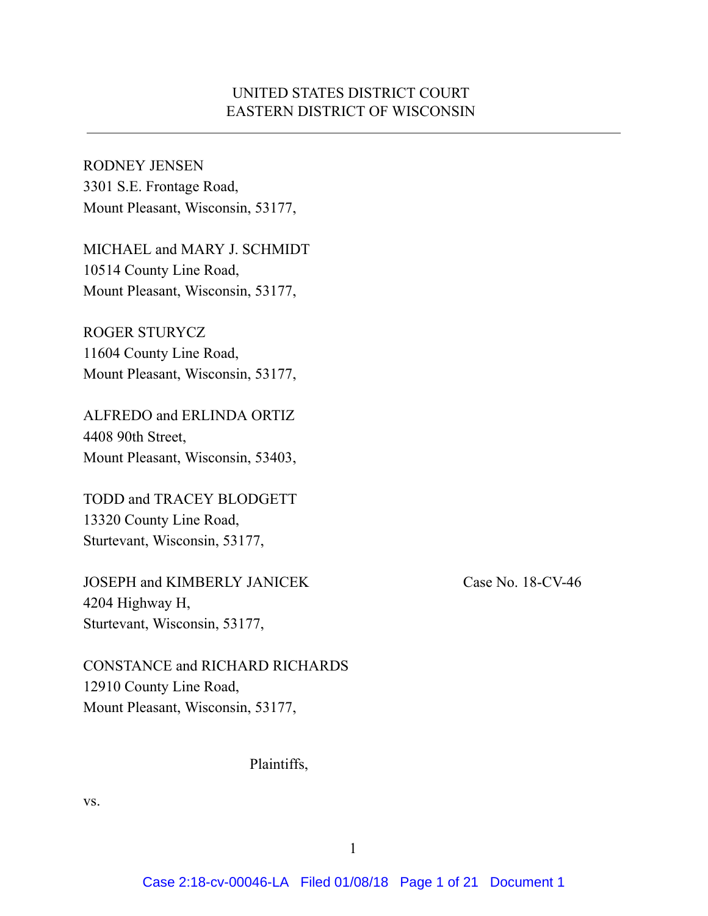### UNITED STATES DISTRICT COURT EASTERN DISTRICT OF WISCONSIN

RODNEY JENSEN 3301 S.E. Frontage Road, Mount Pleasant, Wisconsin, 53177,

MICHAEL and MARY J. SCHMIDT 10514 County Line Road, Mount Pleasant, Wisconsin, 53177,

ROGER STURYCZ 11604 County Line Road, Mount Pleasant, Wisconsin, 53177,

ALFREDO and ERLINDA ORTIZ 4408 90th Street, Mount Pleasant, Wisconsin, 53403,

TODD and TRACEY BLODGETT 13320 County Line Road, Sturtevant, Wisconsin, 53177,

JOSEPH and KIMBERLY JANICEK Case No. 18-CV-46 4204 Highway H, Sturtevant, Wisconsin, 53177,

CONSTANCE and RICHARD RICHARDS 12910 County Line Road, Mount Pleasant, Wisconsin, 53177,

#### Plaintiffs,

vs.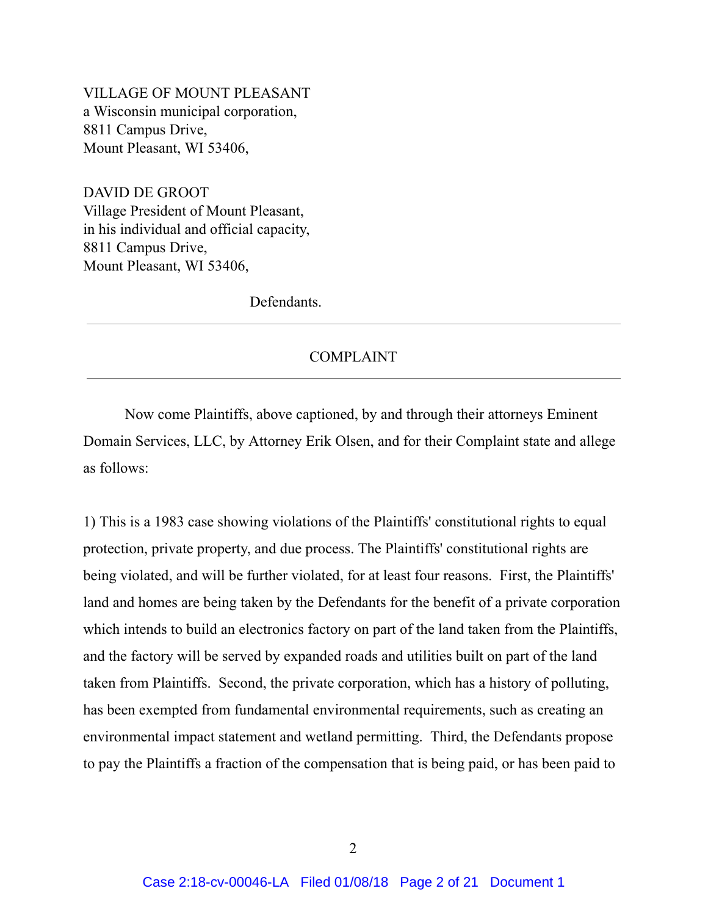VILLAGE OF MOUNT PLEASANT a Wisconsin municipal corporation, 8811 Campus Drive, Mount Pleasant, WI 53406,

DAVID DE GROOT Village President of Mount Pleasant, in his individual and official capacity, 8811 Campus Drive, Mount Pleasant, WI 53406,

Defendants.

#### COMPLAINT

Now come Plaintiffs, above captioned, by and through their attorneys Eminent Domain Services, LLC, by Attorney Erik Olsen, and for their Complaint state and allege as follows:

1) This is a 1983 case showing violations of the Plaintiffs' constitutional rights to equal protection, private property, and due process. The Plaintiffs' constitutional rights are being violated, and will be further violated, for at least four reasons. First, the Plaintiffs' land and homes are being taken by the Defendants for the benefit of a private corporation which intends to build an electronics factory on part of the land taken from the Plaintiffs, and the factory will be served by expanded roads and utilities built on part of the land taken from Plaintiffs. Second, the private corporation, which has a history of polluting, has been exempted from fundamental environmental requirements, such as creating an environmental impact statement and wetland permitting. Third, the Defendants propose to pay the Plaintiffs a fraction of the compensation that is being paid, or has been paid to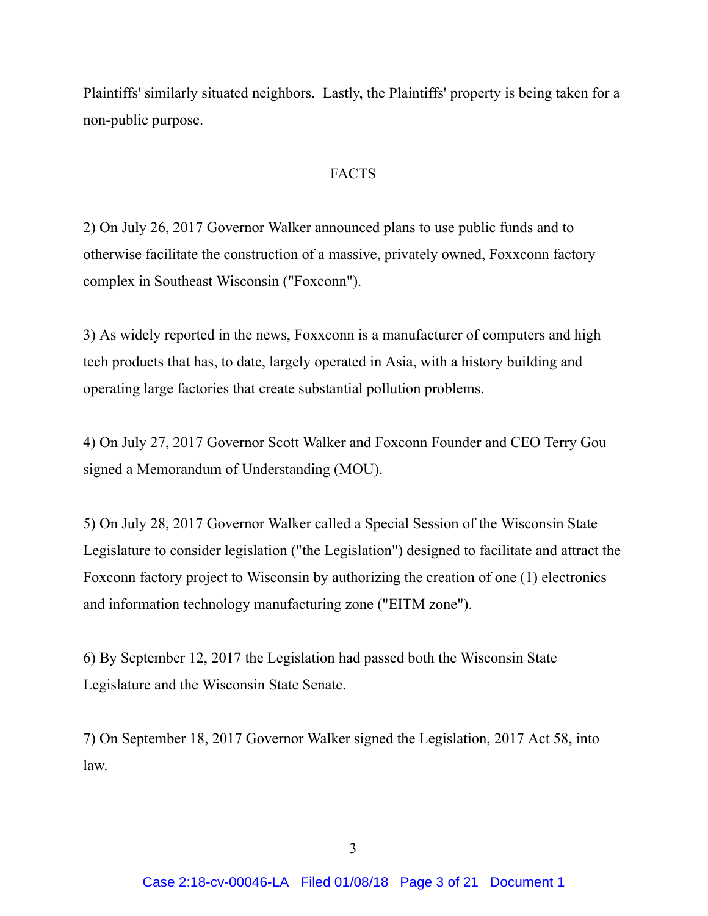Plaintiffs' similarly situated neighbors. Lastly, the Plaintiffs' property is being taken for a non-public purpose.

#### FACTS

2) On July 26, 2017 Governor Walker announced plans to use public funds and to otherwise facilitate the construction of a massive, privately owned, Foxxconn factory complex in Southeast Wisconsin ("Foxconn").

3) As widely reported in the news, Foxxconn is a manufacturer of computers and high tech products that has, to date, largely operated in Asia, with a history building and operating large factories that create substantial pollution problems.

4) On July 27, 2017 Governor Scott Walker and Foxconn Founder and CEO Terry Gou signed a Memorandum of Understanding (MOU).

5) On July 28, 2017 Governor Walker called a Special Session of the Wisconsin State Legislature to consider legislation ("the Legislation") designed to facilitate and attract the Foxconn factory project to Wisconsin by authorizing the creation of one (1) electronics and information technology manufacturing zone ("EITM zone").

6) By September 12, 2017 the Legislation had passed both the Wisconsin State Legislature and the Wisconsin State Senate.

7) On September 18, 2017 Governor Walker signed the Legislation, 2017 Act 58, into law.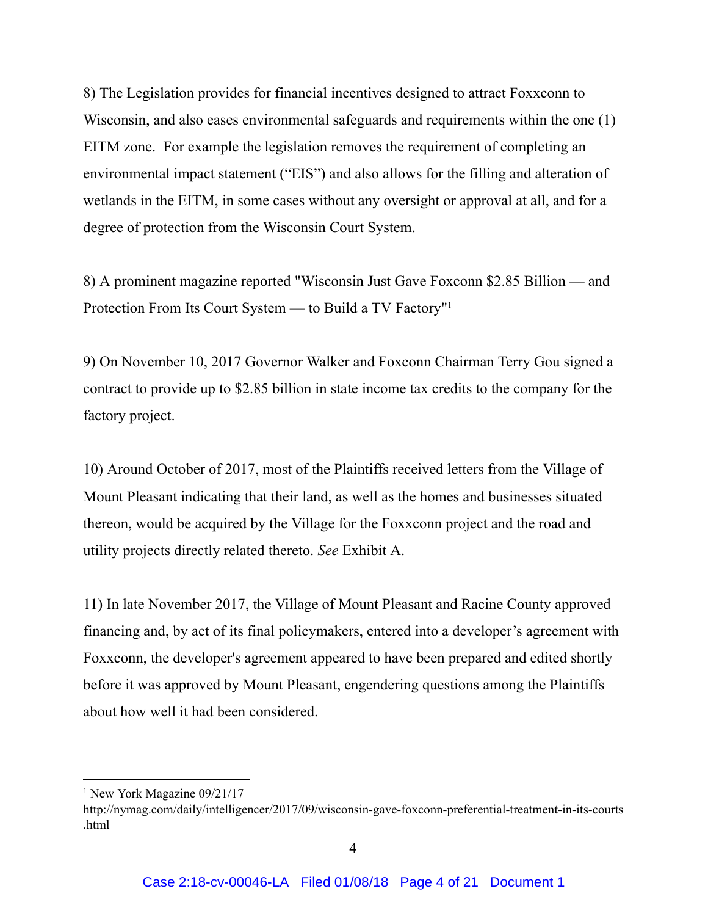8) The Legislation provides for financial incentives designed to attract Foxxconn to Wisconsin, and also eases environmental safeguards and requirements within the one (1) EITM zone. For example the legislation removes the requirement of completing an environmental impact statement ("EIS") and also allows for the filling and alteration of wetlands in the EITM, in some cases without any oversight or approval at all, and for a degree of protection from the Wisconsin Court System.

8) A prominent magazine reported "Wisconsin Just Gave Foxconn \$2.85 Billion — and Protection From Its Court System — to Build a TV Factory" 1

9) On November 10, 2017 Governor Walker and Foxconn Chairman Terry Gou signed a contract to provide up to \$2.85 billion in state income tax credits to the company for the factory project.

10) Around October of 2017, most of the Plaintiffs received letters from the Village of Mount Pleasant indicating that their land, as well as the homes and businesses situated thereon, would be acquired by the Village for the Foxxconn project and the road and utility projects directly related thereto. *See* Exhibit A.

11) In late November 2017, the Village of Mount Pleasant and Racine County approved financing and, by act of its final policymakers, entered into a developer's agreement with Foxxconn, the developer's agreement appeared to have been prepared and edited shortly before it was approved by Mount Pleasant, engendering questions among the Plaintiffs about how well it had been considered.

<sup>&</sup>lt;sup>1</sup> New York Magazine 09/21/17

http://nymag.com/daily/intelligencer/2017/09/wisconsin-gave-foxconn-preferential-treatment-in-its-courts .html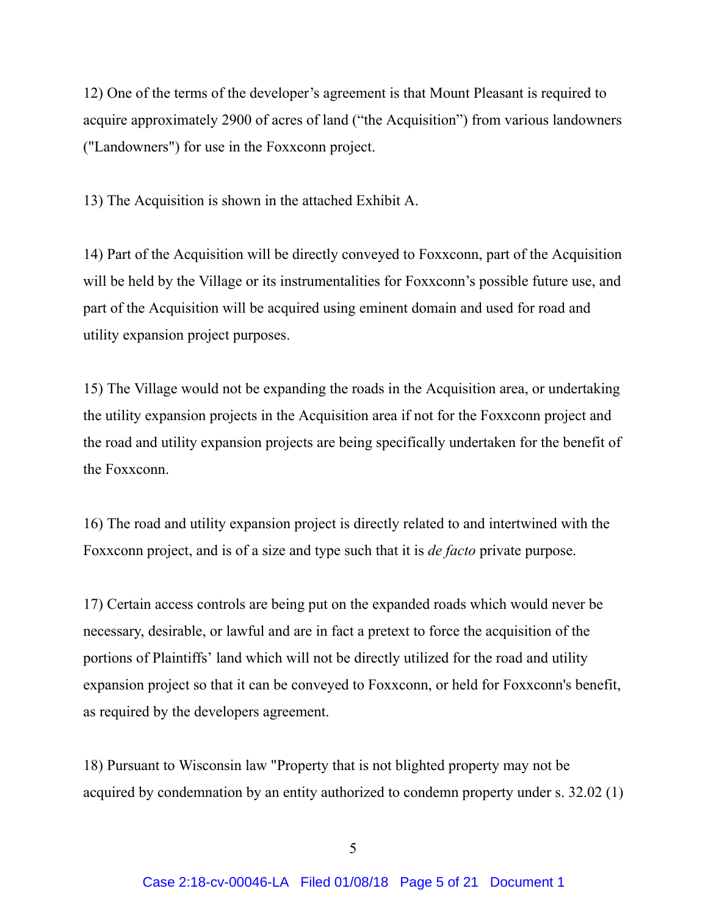12) One of the terms of the developer's agreement is that Mount Pleasant is required to acquire approximately 2900 of acres of land ("the Acquisition") from various landowners ("Landowners") for use in the Foxxconn project.

13) The Acquisition is shown in the attached Exhibit A.

14) Part of the Acquisition will be directly conveyed to Foxxconn, part of the Acquisition will be held by the Village or its instrumentalities for Foxxconn's possible future use, and part of the Acquisition will be acquired using eminent domain and used for road and utility expansion project purposes.

15) The Village would not be expanding the roads in the Acquisition area, or undertaking the utility expansion projects in the Acquisition area if not for the Foxxconn project and the road and utility expansion projects are being specifically undertaken for the benefit of the Foxxconn.

16) The road and utility expansion project is directly related to and intertwined with the Foxxconn project, and is of a size and type such that it is *de facto* private purpose.

17) Certain access controls are being put on the expanded roads which would never be necessary, desirable, or lawful and are in fact a pretext to force the acquisition of the portions of Plaintiffs' land which will not be directly utilized for the road and utility expansion project so that it can be conveyed to Foxxconn, or held for Foxxconn's benefit, as required by the developers agreement.

18) Pursuant to Wisconsin law "Property that is not blighted property may not be acquired by condemnation by an entity authorized to condemn property under s. 32.02 (1)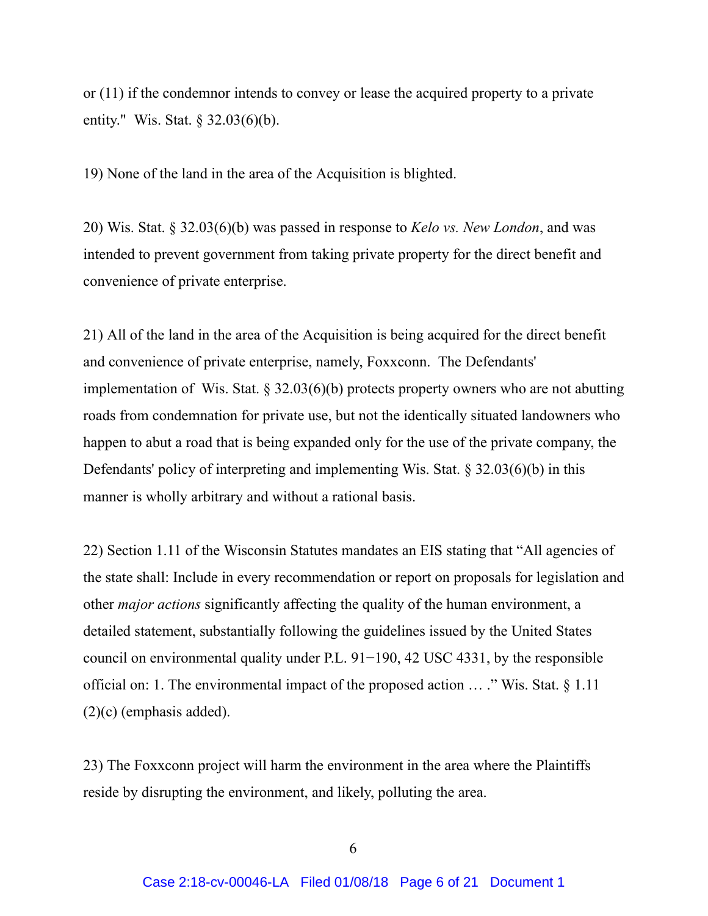or (11) if the condemnor intends to convey or lease the acquired property to a private entity." Wis. Stat. § 32.03(6)(b).

19) None of the land in the area of the Acquisition is blighted.

20) Wis. Stat. § 32.03(6)(b) was passed in response to *Kelo vs. New London*, and was intended to prevent government from taking private property for the direct benefit and convenience of private enterprise.

21) All of the land in the area of the Acquisition is being acquired for the direct benefit and convenience of private enterprise, namely, Foxxconn. The Defendants' implementation of Wis. Stat. § 32.03(6)(b) protects property owners who are not abutting roads from condemnation for private use, but not the identically situated landowners who happen to abut a road that is being expanded only for the use of the private company, the Defendants' policy of interpreting and implementing Wis. Stat. § 32.03(6)(b) in this manner is wholly arbitrary and without a rational basis.

22) Section 1.11 of the Wisconsin Statutes mandates an EIS stating that "All agencies of the state shall: Include in every recommendation or report on proposals for legislation and other *major actions* significantly affecting the quality of the human environment, a detailed statement, substantially following the guidelines issued by the United States council on environmental quality under P.L. 91−190, 42 USC 4331, by the responsible official on: 1. The environmental impact of the proposed action … ." Wis. Stat. § 1.11 (2)(c) (emphasis added).

23) The Foxxconn project will harm the environment in the area where the Plaintiffs reside by disrupting the environment, and likely, polluting the area.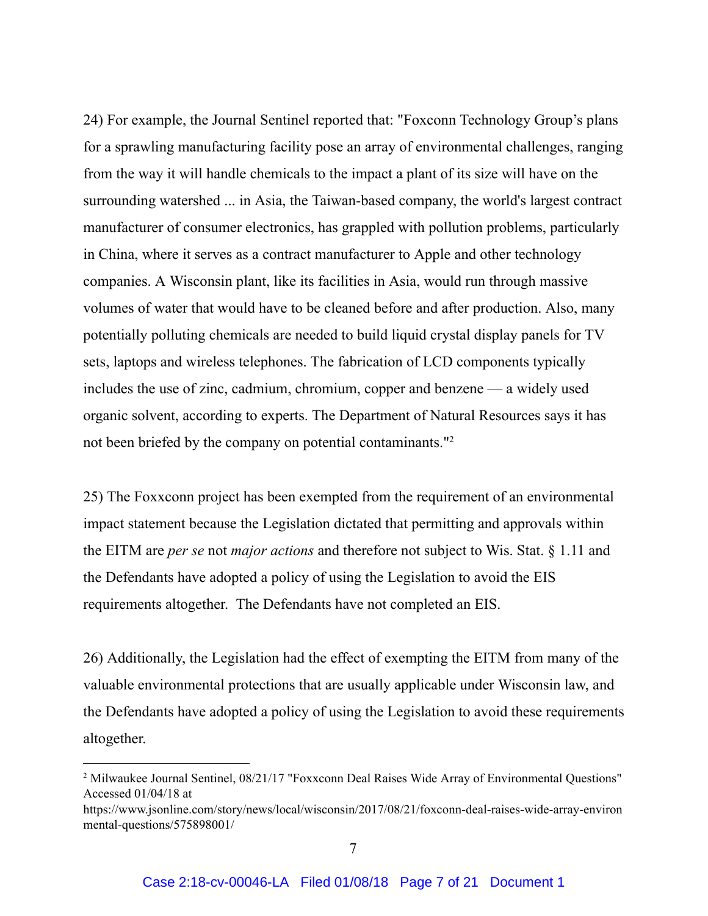24) For example, the Journal Sentinel reported that: "Foxconn Technology Group's plans for a sprawling manufacturing facility pose an array of environmental challenges, ranging from the way it will handle chemicals to the impact a plant of its size will have on the surrounding watershed ... in Asia, the Taiwan-based company, the world's largest contract manufacturer of consumer electronics, has grappled with pollution problems, particularly in China, where it serves as a contract manufacturer to Apple and other technology companies. A Wisconsin plant, like its facilities in Asia, would run through massive volumes of water that would have to be cleaned before and after production. Also, many potentially polluting chemicals are needed to build liquid crystal display panels for TV sets, laptops and wireless telephones. The fabrication of LCD components typically includes the use of zinc, cadmium, chromium, copper and benzene — a widely used organic solvent, according to experts. The Department of Natural Resources says it has not been briefed by the company on potential contaminants."<sup>2</sup>

25) The Foxxconn project has been exempted from the requirement of an environmental impact statement because the Legislation dictated that permitting and approvals within the EITM are *per se* not *major actions* and therefore not subject to Wis. Stat. § 1.11 and the Defendants have adopted a policy of using the Legislation to avoid the EIS requirements altogether. The Defendants have not completed an EIS.

26) Additionally, the Legislation had the effect of exempting the EITM from many of the valuable environmental protections that are usually applicable under Wisconsin law, and the Defendants have adopted a policy of using the Legislation to avoid these requirements altogether.

<sup>&</sup>lt;sup>2</sup> Milwaukee Journal Sentinel, 08/21/17 "Foxxconn Deal Raises Wide Array of Environmental Questions" Accessed 01/04/18 at

https://www.jsonline.com/story/news/local/wisconsin/2017/08/21/foxconn-deal-raises-wide-array-environ mental-questions/575898001/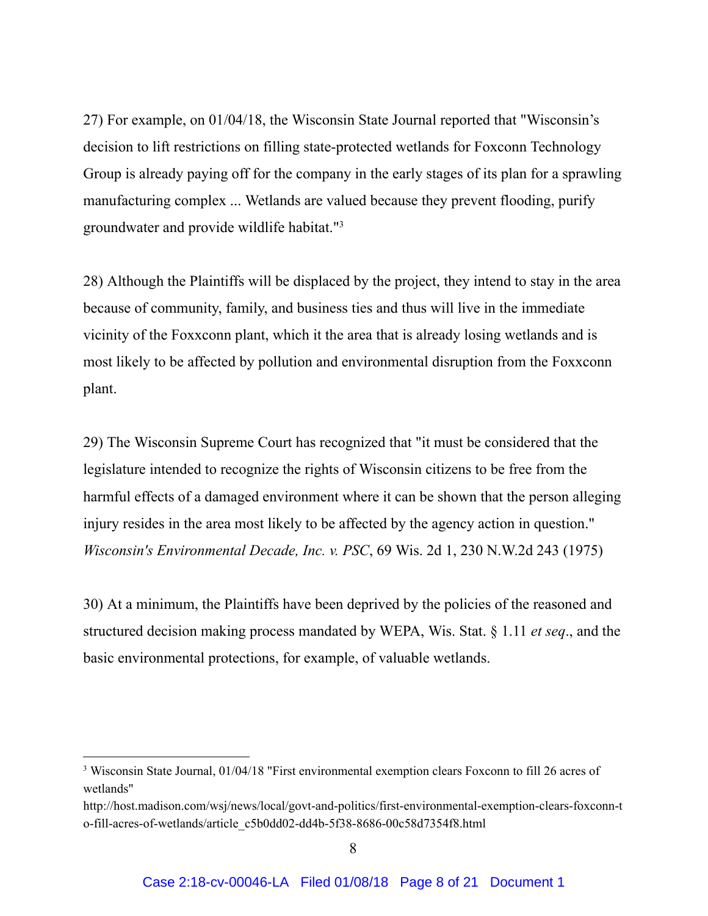27) For example, on 01/04/18, the Wisconsin State Journal reported that "Wisconsin's decision to lift restrictions on filling state-protected wetlands for Foxconn Technology Group is already paying off for the company in the early stages of its plan for a sprawling manufacturing complex ... Wetlands are valued because they prevent flooding, purify groundwater and provide wildlife habitat." 3

28) Although the Plaintiffs will be displaced by the project, they intend to stay in the area because of community, family, and business ties and thus will live in the immediate vicinity of the Foxxconn plant, which it the area that is already losing wetlands and is most likely to be affected by pollution and environmental disruption from the Foxxconn plant.

29) The Wisconsin Supreme Court has recognized that "it must be considered that the legislature intended to recognize the rights of Wisconsin citizens to be free from the harmful effects of a damaged environment where it can be shown that the person alleging injury resides in the area most likely to be affected by the agency action in question." *Wisconsin's Environmental Decade, Inc. v. PSC*, 69 Wis. 2d 1, 230 N.W.2d 243 (1975)

30) At a minimum, the Plaintiffs have been deprived by the policies of the reasoned and structured decision making process mandated by WEPA, Wis. Stat. § 1.11 *et seq*., and the basic environmental protections, for example, of valuable wetlands.

<sup>3</sup> Wisconsin State Journal, 01/04/18 "First environmental exemption clears Foxconn to fill 26 acres of wetlands"

http://host.madison.com/wsj/news/local/govt-and-politics/first-environmental-exemption-clears-foxconn-t o-fill-acres-of-wetlands/article\_c5b0dd02-dd4b-5f38-8686-00c58d7354f8.html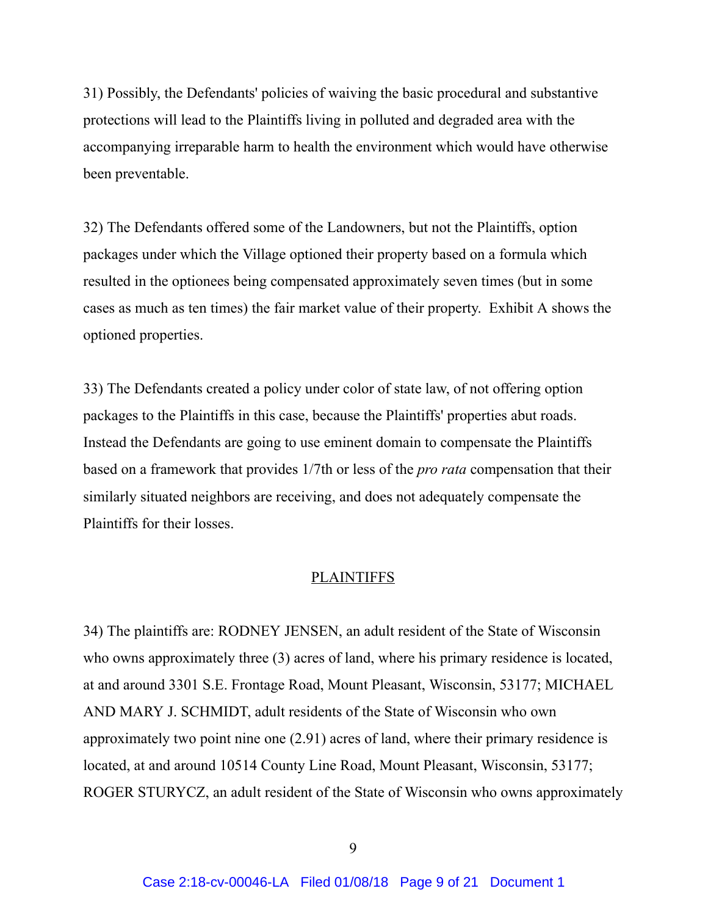31) Possibly, the Defendants' policies of waiving the basic procedural and substantive protections will lead to the Plaintiffs living in polluted and degraded area with the accompanying irreparable harm to health the environment which would have otherwise been preventable.

32) The Defendants offered some of the Landowners, but not the Plaintiffs, option packages under which the Village optioned their property based on a formula which resulted in the optionees being compensated approximately seven times (but in some cases as much as ten times) the fair market value of their property. Exhibit A shows the optioned properties.

33) The Defendants created a policy under color of state law, of not offering option packages to the Plaintiffs in this case, because the Plaintiffs' properties abut roads. Instead the Defendants are going to use eminent domain to compensate the Plaintiffs based on a framework that provides 1/7th or less of the *pro rata* compensation that their similarly situated neighbors are receiving, and does not adequately compensate the Plaintiffs for their losses.

#### PLAINTIFFS

34) The plaintiffs are: RODNEY JENSEN, an adult resident of the State of Wisconsin who owns approximately three (3) acres of land, where his primary residence is located, at and around 3301 S.E. Frontage Road, Mount Pleasant, Wisconsin, 53177; MICHAEL AND MARY J. SCHMIDT, adult residents of the State of Wisconsin who own approximately two point nine one (2.91) acres of land, where their primary residence is located, at and around 10514 County Line Road, Mount Pleasant, Wisconsin, 53177; ROGER STURYCZ, an adult resident of the State of Wisconsin who owns approximately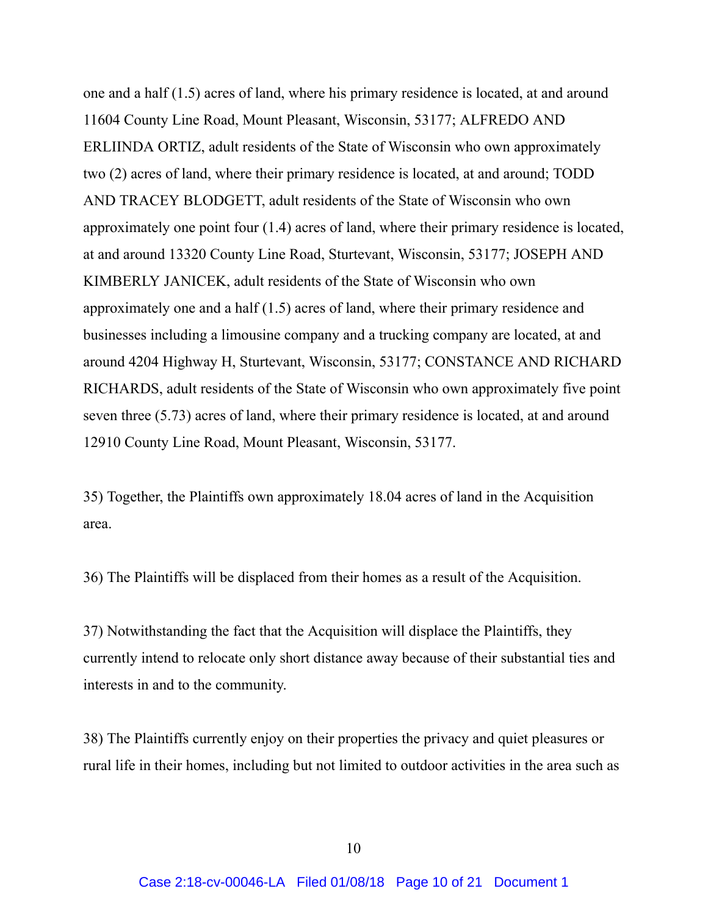one and a half (1.5) acres of land, where his primary residence is located, at and around 11604 County Line Road, Mount Pleasant, Wisconsin, 53177; ALFREDO AND ERLIINDA ORTIZ, adult residents of the State of Wisconsin who own approximately two (2) acres of land, where their primary residence is located, at and around; TODD AND TRACEY BLODGETT, adult residents of the State of Wisconsin who own approximately one point four (1.4) acres of land, where their primary residence is located, at and around 13320 County Line Road, Sturtevant, Wisconsin, 53177; JOSEPH AND KIMBERLY JANICEK, adult residents of the State of Wisconsin who own approximately one and a half (1.5) acres of land, where their primary residence and businesses including a limousine company and a trucking company are located, at and around 4204 Highway H, Sturtevant, Wisconsin, 53177; CONSTANCE AND RICHARD RICHARDS, adult residents of the State of Wisconsin who own approximately five point seven three (5.73) acres of land, where their primary residence is located, at and around 12910 County Line Road, Mount Pleasant, Wisconsin, 53177.

35) Together, the Plaintiffs own approximately 18.04 acres of land in the Acquisition area.

36) The Plaintiffs will be displaced from their homes as a result of the Acquisition.

37) Notwithstanding the fact that the Acquisition will displace the Plaintiffs, they currently intend to relocate only short distance away because of their substantial ties and interests in and to the community.

38) The Plaintiffs currently enjoy on their properties the privacy and quiet pleasures or rural life in their homes, including but not limited to outdoor activities in the area such as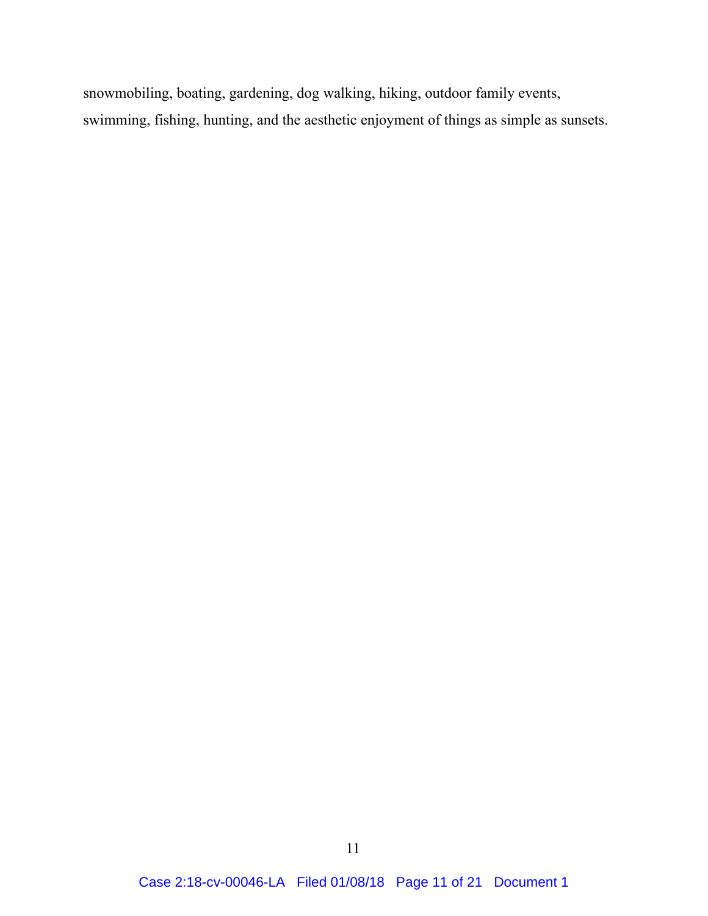snowmobiling, boating, gardening, dog walking, hiking, outdoor family events, swimming, fishing, hunting, and the aesthetic enjoyment of things as simple as sunsets.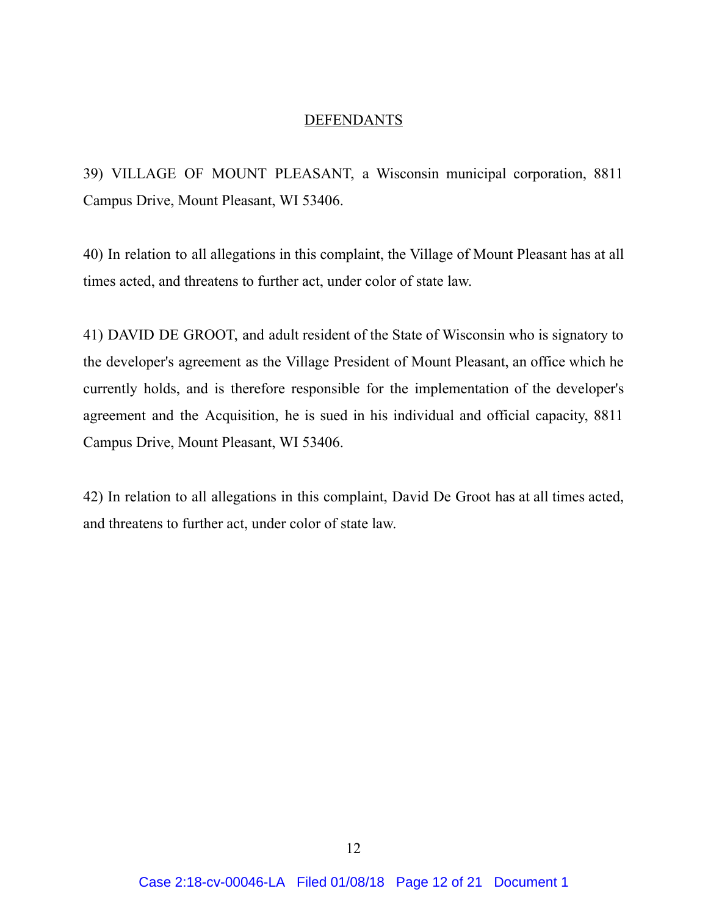#### **DEFENDANTS**

39) VILLAGE OF MOUNT PLEASANT, a Wisconsin municipal corporation, 8811 Campus Drive, Mount Pleasant, WI 53406.

40) In relation to all allegations in this complaint, the Village of Mount Pleasant has at all times acted, and threatens to further act, under color of state law.

41) DAVID DE GROOT, and adult resident of the State of Wisconsin who is signatory to the developer's agreement as the Village President of Mount Pleasant, an office which he currently holds, and is therefore responsible for the implementation of the developer's agreement and the Acquisition, he is sued in his individual and official capacity, 8811 Campus Drive, Mount Pleasant, WI 53406.

42) In relation to all allegations in this complaint, David De Groot has at all times acted, and threatens to further act, under color of state law.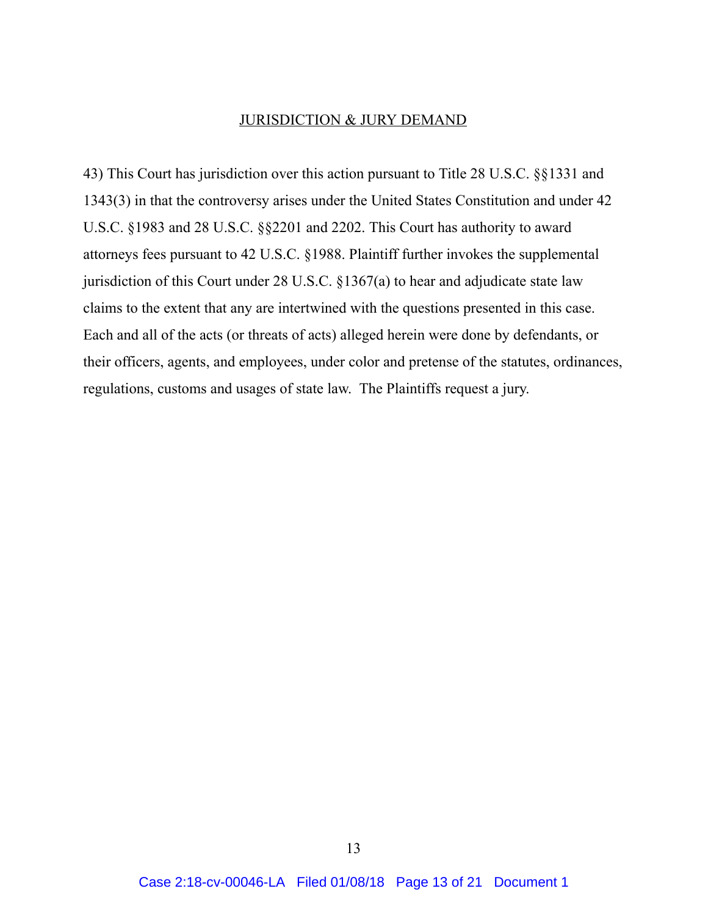#### JURISDICTION & JURY DEMAND

43) This Court has jurisdiction over this action pursuant to Title 28 U.S.C. §§1331 and 1343(3) in that the controversy arises under the United States Constitution and under 42 U.S.C. §1983 and 28 U.S.C. §§2201 and 2202. This Court has authority to award attorneys fees pursuant to 42 U.S.C. §1988. Plaintiff further invokes the supplemental jurisdiction of this Court under 28 U.S.C. §1367(a) to hear and adjudicate state law claims to the extent that any are intertwined with the questions presented in this case. Each and all of the acts (or threats of acts) alleged herein were done by defendants, or their officers, agents, and employees, under color and pretense of the statutes, ordinances, regulations, customs and usages of state law. The Plaintiffs request a jury.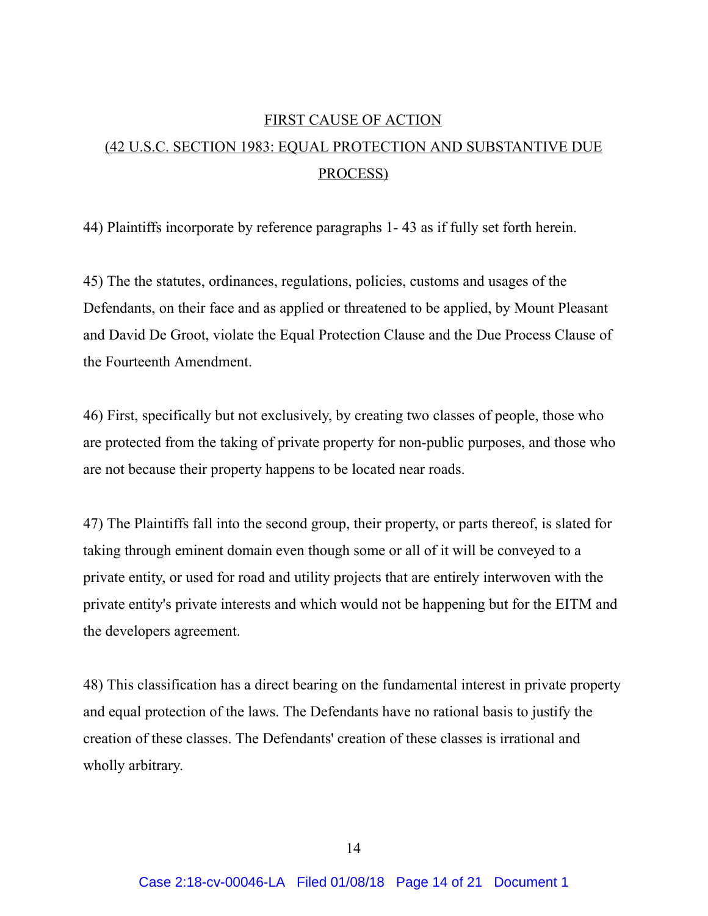# FIRST CAUSE OF ACTION (42 U.S.C. SECTION 1983: EQUAL PROTECTION AND SUBSTANTIVE DUE PROCESS)

44) Plaintiffs incorporate by reference paragraphs 1-43 as if fully set forth herein.

45) The the statutes, ordinances, regulations, policies, customs and usages of the Defendants, on their face and as applied or threatened to be applied, by Mount Pleasant and David De Groot, violate the Equal Protection Clause and the Due Process Clause of the Fourteenth Amendment.

46) First, specifically but not exclusively, by creating two classes of people, those who are protected from the taking of private property for non-public purposes, and those who are not because their property happens to be located near roads.

47) The Plaintiffs fall into the second group, their property, or parts thereof, is slated for taking through eminent domain even though some or all of it will be conveyed to a private entity, or used for road and utility projects that are entirely interwoven with the private entity's private interests and which would not be happening but for the EITM and the developers agreement.

48) This classification has a direct bearing on the fundamental interest in private property and equal protection of the laws. The Defendants have no rational basis to justify the creation of these classes. The Defendants' creation of these classes is irrational and wholly arbitrary.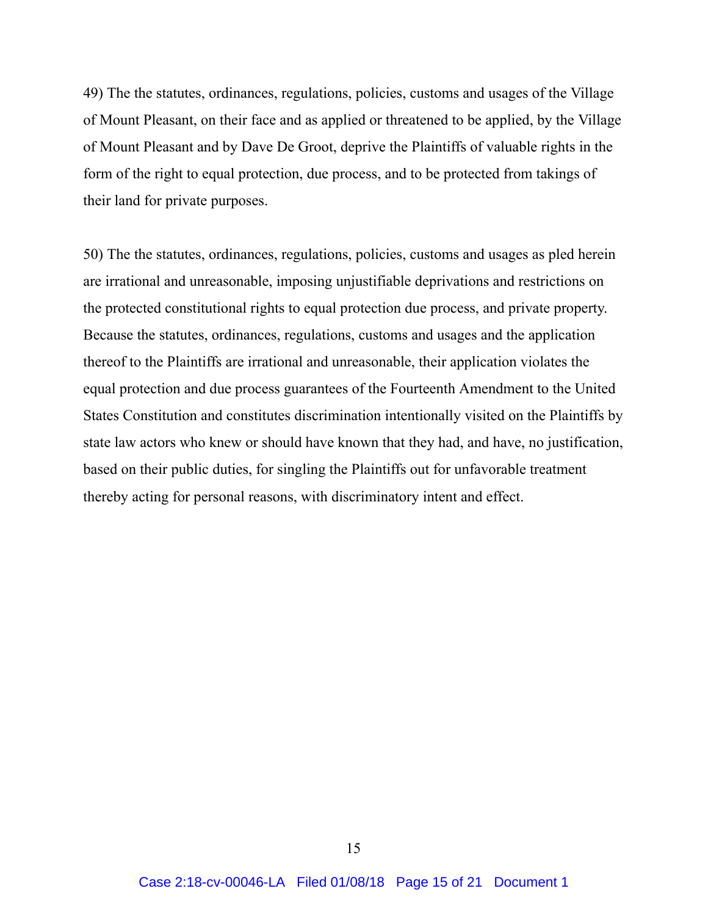49) The the statutes, ordinances, regulations, policies, customs and usages of the Village of Mount Pleasant, on their face and as applied or threatened to be applied, by the Village of Mount Pleasant and by Dave De Groot, deprive the Plaintiffs of valuable rights in the form of the right to equal protection, due process, and to be protected from takings of their land for private purposes.

50) The the statutes, ordinances, regulations, policies, customs and usages as pled herein are irrational and unreasonable, imposing unjustifiable deprivations and restrictions on the protected constitutional rights to equal protection due process, and private property. Because the statutes, ordinances, regulations, customs and usages and the application thereof to the Plaintiffs are irrational and unreasonable, their application violates the equal protection and due process guarantees of the Fourteenth Amendment to the United States Constitution and constitutes discrimination intentionally visited on the Plaintiffs by state law actors who knew or should have known that they had, and have, no justification, based on their public duties, for singling the Plaintiffs out for unfavorable treatment thereby acting for personal reasons, with discriminatory intent and effect.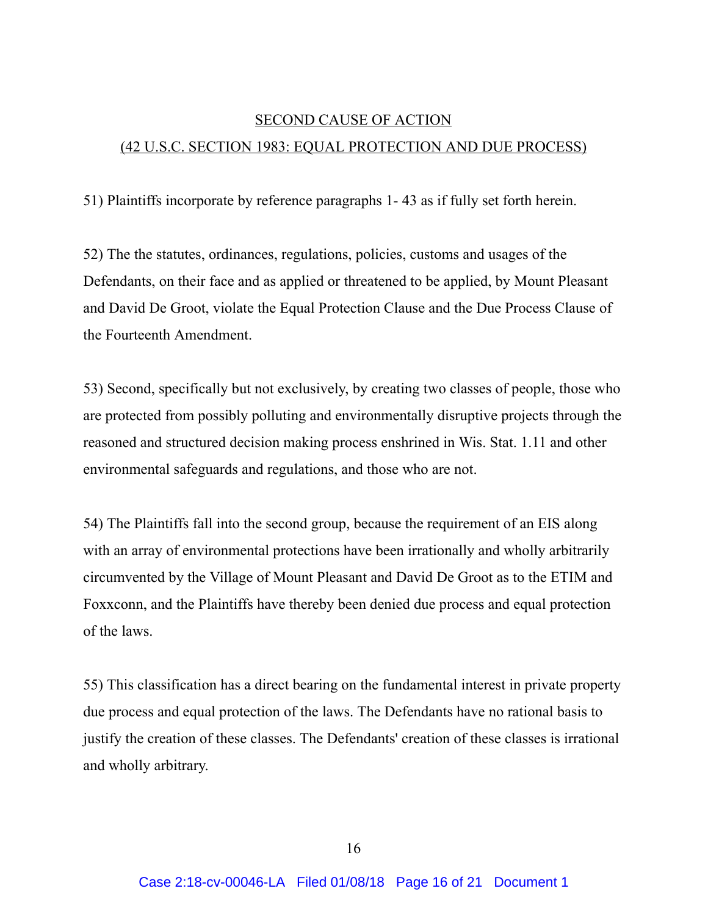# SECOND CAUSE OF ACTION (42 U.S.C. SECTION 1983: EQUAL PROTECTION AND DUE PROCESS)

51) Plaintiffs incorporate by reference paragraphs 1 43 as if fully set forth herein.

52) The the statutes, ordinances, regulations, policies, customs and usages of the Defendants, on their face and as applied or threatened to be applied, by Mount Pleasant and David De Groot, violate the Equal Protection Clause and the Due Process Clause of the Fourteenth Amendment.

53) Second, specifically but not exclusively, by creating two classes of people, those who are protected from possibly polluting and environmentally disruptive projects through the reasoned and structured decision making process enshrined in Wis. Stat. 1.11 and other environmental safeguards and regulations, and those who are not.

54) The Plaintiffs fall into the second group, because the requirement of an EIS along with an array of environmental protections have been irrationally and wholly arbitrarily circumvented by the Village of Mount Pleasant and David De Groot as to the ETIM and Foxxconn, and the Plaintiffs have thereby been denied due process and equal protection of the laws.

55) This classification has a direct bearing on the fundamental interest in private property due process and equal protection of the laws. The Defendants have no rational basis to justify the creation of these classes. The Defendants' creation of these classes is irrational and wholly arbitrary.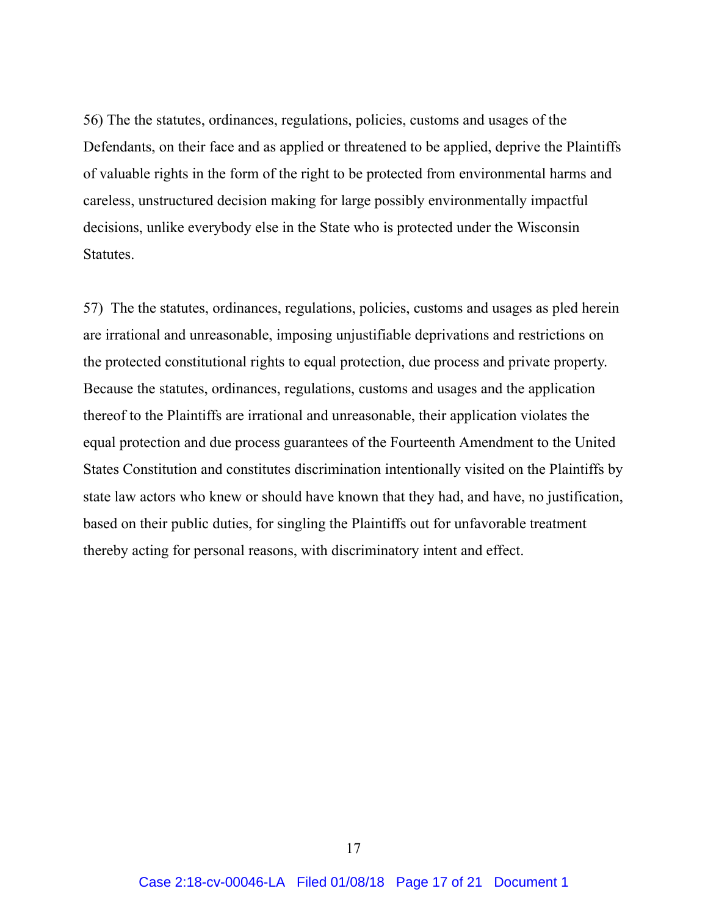56) The the statutes, ordinances, regulations, policies, customs and usages of the Defendants, on their face and as applied or threatened to be applied, deprive the Plaintiffs of valuable rights in the form of the right to be protected from environmental harms and careless, unstructured decision making for large possibly environmentally impactful decisions, unlike everybody else in the State who is protected under the Wisconsin Statutes.

57) The the statutes, ordinances, regulations, policies, customs and usages as pled herein are irrational and unreasonable, imposing unjustifiable deprivations and restrictions on the protected constitutional rights to equal protection, due process and private property. Because the statutes, ordinances, regulations, customs and usages and the application thereof to the Plaintiffs are irrational and unreasonable, their application violates the equal protection and due process guarantees of the Fourteenth Amendment to the United States Constitution and constitutes discrimination intentionally visited on the Plaintiffs by state law actors who knew or should have known that they had, and have, no justification, based on their public duties, for singling the Plaintiffs out for unfavorable treatment thereby acting for personal reasons, with discriminatory intent and effect.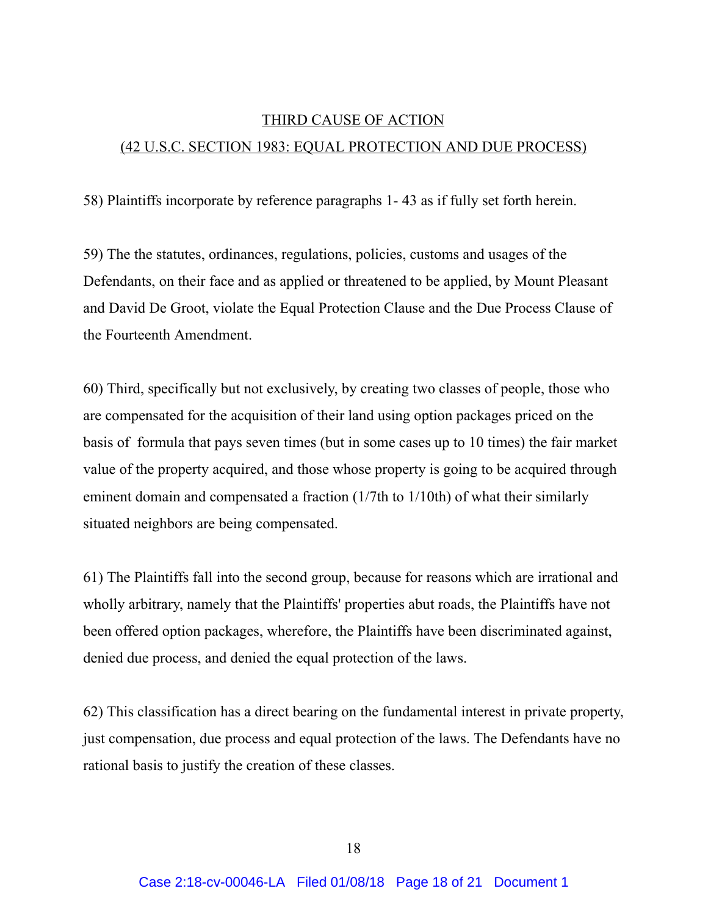## THIRD CAUSE OF ACTION (42 U.S.C. SECTION 1983: EQUAL PROTECTION AND DUE PROCESS)

58) Plaintiffs incorporate by reference paragraphs 1 43 as if fully set forth herein.

59) The the statutes, ordinances, regulations, policies, customs and usages of the Defendants, on their face and as applied or threatened to be applied, by Mount Pleasant and David De Groot, violate the Equal Protection Clause and the Due Process Clause of the Fourteenth Amendment.

60) Third, specifically but not exclusively, by creating two classes of people, those who are compensated for the acquisition of their land using option packages priced on the basis of formula that pays seven times (but in some cases up to 10 times) the fair market value of the property acquired, and those whose property is going to be acquired through eminent domain and compensated a fraction (1/7th to 1/10th) of what their similarly situated neighbors are being compensated.

61) The Plaintiffs fall into the second group, because for reasons which are irrational and wholly arbitrary, namely that the Plaintiffs' properties abut roads, the Plaintiffs have not been offered option packages, wherefore, the Plaintiffs have been discriminated against, denied due process, and denied the equal protection of the laws.

62) This classification has a direct bearing on the fundamental interest in private property, just compensation, due process and equal protection of the laws. The Defendants have no rational basis to justify the creation of these classes.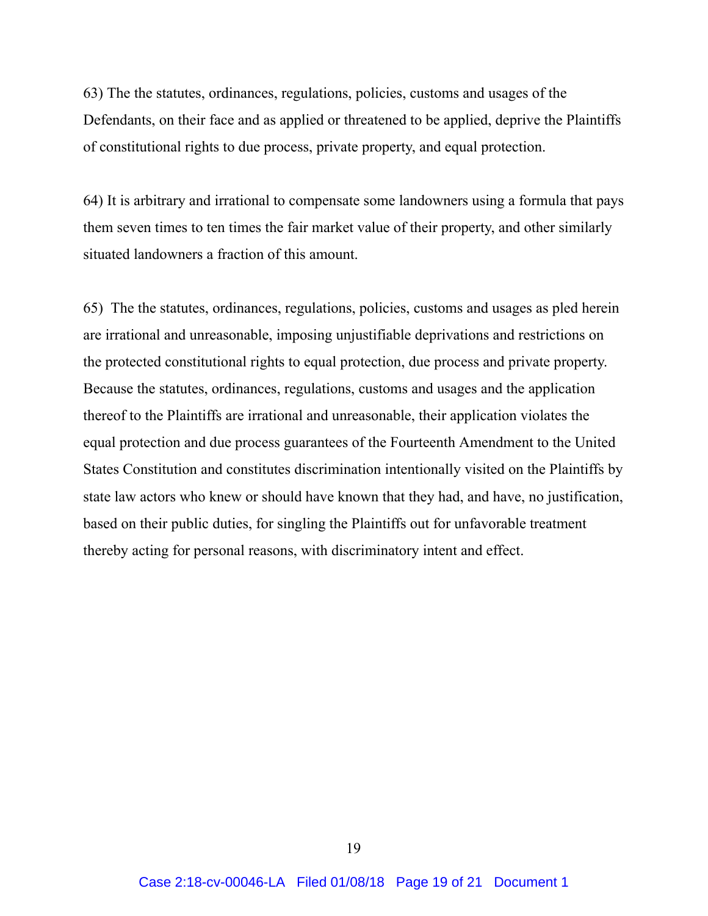63) The the statutes, ordinances, regulations, policies, customs and usages of the Defendants, on their face and as applied or threatened to be applied, deprive the Plaintiffs of constitutional rights to due process, private property, and equal protection.

64) It is arbitrary and irrational to compensate some landowners using a formula that pays them seven times to ten times the fair market value of their property, and other similarly situated landowners a fraction of this amount.

65) The the statutes, ordinances, regulations, policies, customs and usages as pled herein are irrational and unreasonable, imposing unjustifiable deprivations and restrictions on the protected constitutional rights to equal protection, due process and private property. Because the statutes, ordinances, regulations, customs and usages and the application thereof to the Plaintiffs are irrational and unreasonable, their application violates the equal protection and due process guarantees of the Fourteenth Amendment to the United States Constitution and constitutes discrimination intentionally visited on the Plaintiffs by state law actors who knew or should have known that they had, and have, no justification, based on their public duties, for singling the Plaintiffs out for unfavorable treatment thereby acting for personal reasons, with discriminatory intent and effect.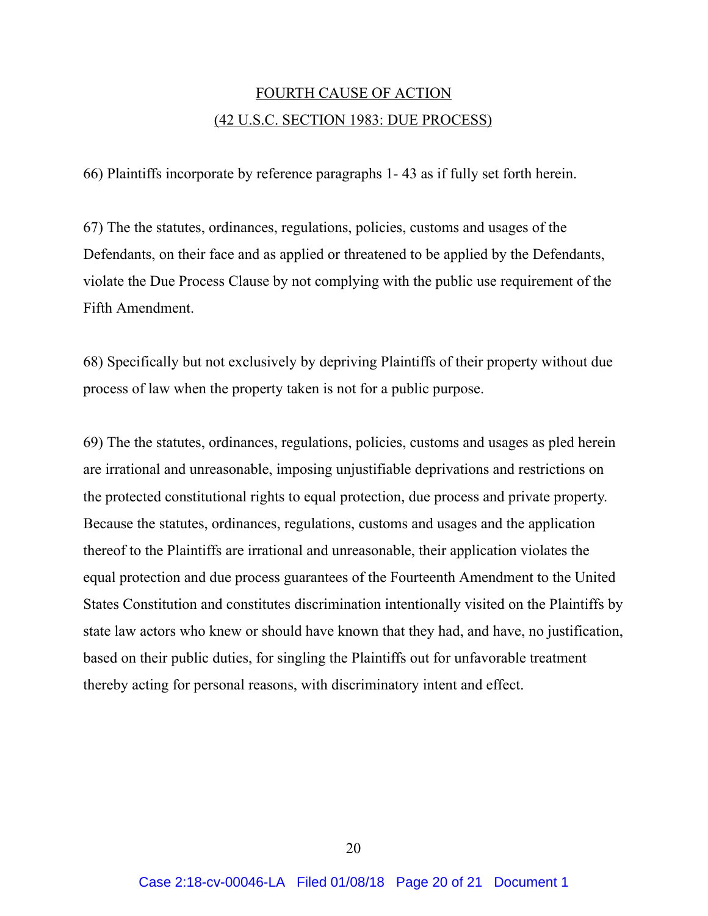## FOURTH CAUSE OF ACTION (42 U.S.C. SECTION 1983: DUE PROCESS)

66) Plaintiffs incorporate by reference paragraphs 1 43 as if fully set forth herein.

67) The the statutes, ordinances, regulations, policies, customs and usages of the Defendants, on their face and as applied or threatened to be applied by the Defendants, violate the Due Process Clause by not complying with the public use requirement of the Fifth Amendment.

68) Specifically but not exclusively by depriving Plaintiffs of their property without due process of law when the property taken is not for a public purpose.

69) The the statutes, ordinances, regulations, policies, customs and usages as pled herein are irrational and unreasonable, imposing unjustifiable deprivations and restrictions on the protected constitutional rights to equal protection, due process and private property. Because the statutes, ordinances, regulations, customs and usages and the application thereof to the Plaintiffs are irrational and unreasonable, their application violates the equal protection and due process guarantees of the Fourteenth Amendment to the United States Constitution and constitutes discrimination intentionally visited on the Plaintiffs by state law actors who knew or should have known that they had, and have, no justification, based on their public duties, for singling the Plaintiffs out for unfavorable treatment thereby acting for personal reasons, with discriminatory intent and effect.